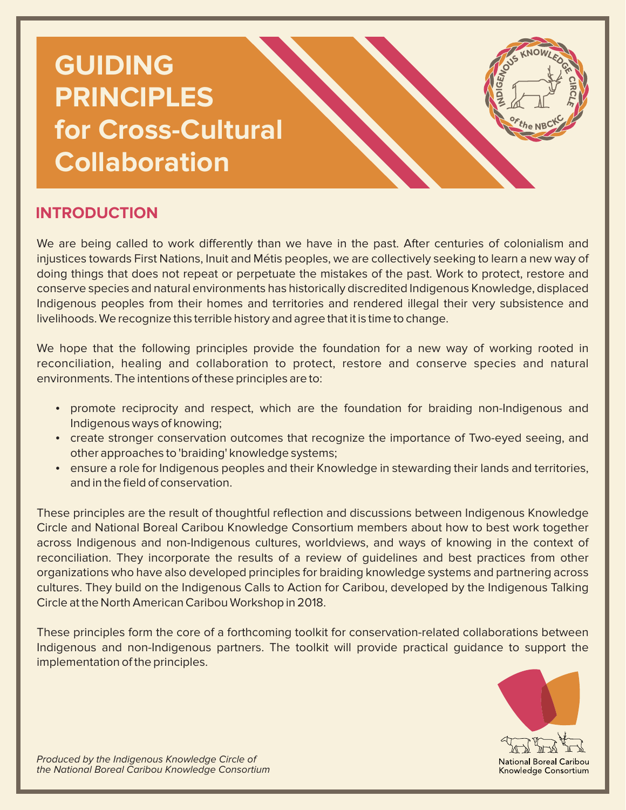# **GUIDING PRINCIPLES for Cross-Cultural Collaboration**

## **INTRODUCTION**

We are being called to work differently than we have in the past. After centuries of colonialism and injustices towards First Nations, Inuit and Métis peoples, we are collectively seeking to learn a new way of doing things that does not repeat or perpetuate the mistakes of the past. Work to protect, restore and conserve species and natural environments has historically discredited Indigenous Knowledge, displaced Indigenous peoples from their homes and territories and rendered illegal their very subsistence and livelihoods. We recognize this terrible history and agree that it is time to change.

We hope that the following principles provide the foundation for a new way of working rooted in reconciliation, healing and collaboration to protect, restore and conserve species and natural environments. The intentions of these principles are to:

- promote reciprocity and respect, which are the foundation for braiding non-Indigenous and Indigenous ways of knowing;
- create stronger conservation outcomes that recognize the importance of Two-eyed seeing, and other approaches to 'braiding' knowledge systems;
- ensure a role for Indigenous peoples and their Knowledge in stewarding their lands and territories, and in the field of conservation.

These principles are the result of thoughtful reflection and discussions between Indigenous Knowledge Circle and National Boreal Caribou Knowledge Consortium members about how to best work together across Indigenous and non-Indigenous cultures, worldviews, and ways of knowing in the context of reconciliation. They incorporate the results of a review of guidelines and best practices from other organizations who have also developed principles for braiding knowledge systems and partnering across cultures. They build on the Indigenous Calls to Action for Caribou, developed by the Indigenous Talking Circle at the North American Caribou Workshop in 2018.

These principles form the core of a forthcoming toolkit for conservation-related collaborations between Indigenous and non-Indigenous partners. The toolkit will provide practical guidance to support the implementation of the principles.